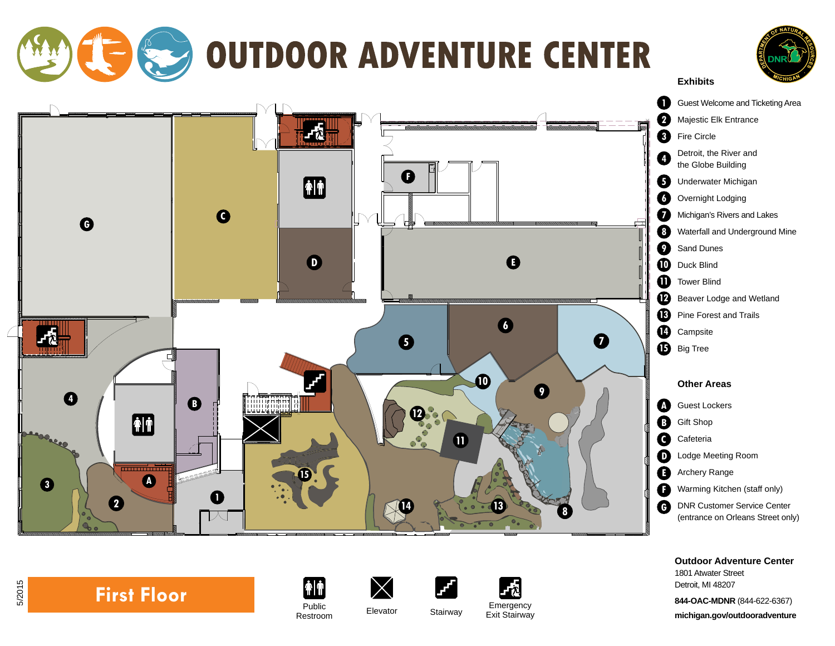

**Outdoor Adventure Center** 1801 Atwater Street Detroit, MI 48207

**844-OAC-MDNR** (844-622-6367) **michigan.gov/outdooradventure**



5/2015

 $|\hat{\mathbf{f}}|$ Public<br>Restroom

 $\times$ Restroom Elevator Stairway Emergency Exit Stairway